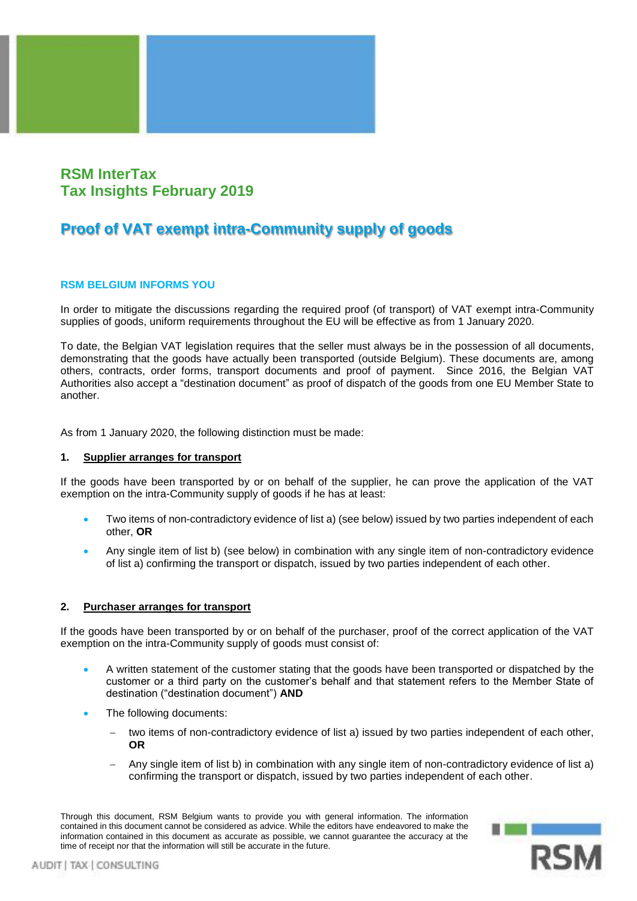

## **RSM InterTax Tax Insights February 2019**

# **Proof of VAT exempt intra-Community supply of goods**

## **RSM BELGIUM INFORMS YOU**

In order to mitigate the discussions regarding the required proof (of transport) of VAT exempt intra-Community supplies of goods, uniform requirements throughout the EU will be effective as from 1 January 2020.

To date, the Belgian VAT legislation requires that the seller must always be in the possession of all documents, demonstrating that the goods have actually been transported (outside Belgium). These documents are, among others, contracts, order forms, transport documents and proof of payment. Since 2016, the Belgian VAT Authorities also accept a "destination document" as proof of dispatch of the goods from one EU Member State to another.

As from 1 January 2020, the following distinction must be made:

#### **1. Supplier arranges for transport**

If the goods have been transported by or on behalf of the supplier, he can prove the application of the VAT exemption on the intra-Community supply of goods if he has at least:

- Two items of non-contradictory evidence of list a) (see below) issued by two parties independent of each other, **OR**
- Any single item of list b) (see below) in combination with any single item of non-contradictory evidence of list a) confirming the transport or dispatch, issued by two parties independent of each other.

## **2. Purchaser arranges for transport**

If the goods have been transported by or on behalf of the purchaser, proof of the correct application of the VAT exemption on the intra-Community supply of goods must consist of:

- A written statement of the customer stating that the goods have been transported or dispatched by the customer or a third party on the customer's behalf and that statement refers to the Member State of destination ("destination document") **AND**
- The following documents:
	- two items of non-contradictory evidence of list a) issued by two parties independent of each other, **OR**
	- − Any single item of list b) in combination with any single item of non-contradictory evidence of list a) confirming the transport or dispatch, issued by two parties independent of each other.

Through this document, RSM Belgium wants to provide you with general information. The information contained in this document cannot be considered as advice. While the editors have endeavored to make the information contained in this document as accurate as possible, we cannot guarantee the accuracy at the time of receipt nor that the information will still be accurate in the future.